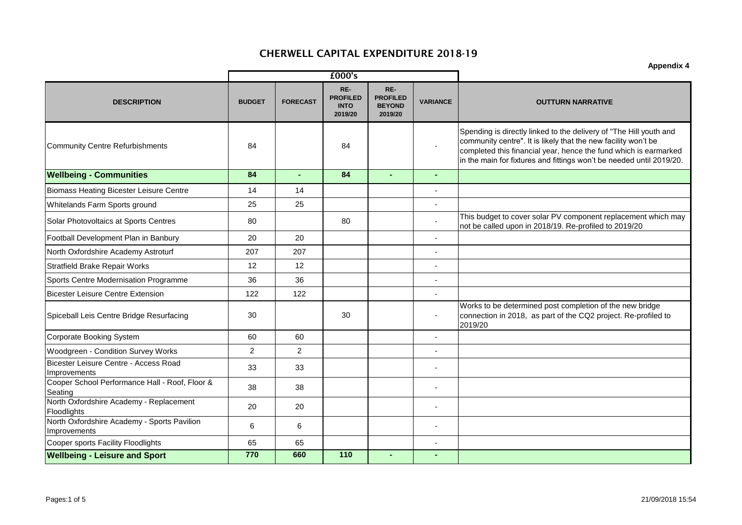|                                                             | £000's        |                 |                                                  |                                                    |                          |                                                                                                                                                                                                                                                                                  |
|-------------------------------------------------------------|---------------|-----------------|--------------------------------------------------|----------------------------------------------------|--------------------------|----------------------------------------------------------------------------------------------------------------------------------------------------------------------------------------------------------------------------------------------------------------------------------|
| <b>DESCRIPTION</b>                                          | <b>BUDGET</b> | <b>FORECAST</b> | RE-<br><b>PROFILED</b><br><b>INTO</b><br>2019/20 | RE-<br><b>PROFILED</b><br><b>BEYOND</b><br>2019/20 | <b>VARIANCE</b>          | <b>OUTTURN NARRATIVE</b>                                                                                                                                                                                                                                                         |
| <b>Community Centre Refurbishments</b>                      | 84            |                 | 84                                               |                                                    | $\blacksquare$           | Spending is directly linked to the delivery of "The Hill youth and<br>community centre". It is likely that the new facility won't be<br>completed this financial year, hence the fund which is earmarked<br>in the main for fixtures and fittings won't be needed until 2019/20. |
| <b>Wellbeing - Communities</b>                              | 84            | $\blacksquare$  | 84                                               |                                                    | ÷                        |                                                                                                                                                                                                                                                                                  |
| <b>Biomass Heating Bicester Leisure Centre</b>              | 14            | 14              |                                                  |                                                    |                          |                                                                                                                                                                                                                                                                                  |
| Whitelands Farm Sports ground                               | 25            | 25              |                                                  |                                                    | $\overline{\phantom{a}}$ |                                                                                                                                                                                                                                                                                  |
| Solar Photovoltaics at Sports Centres                       | 80            |                 | 80                                               |                                                    |                          | This budget to cover solar PV component replacement which may<br>not be called upon in 2018/19. Re-profiled to 2019/20                                                                                                                                                           |
| Football Development Plan in Banbury                        | 20            | 20              |                                                  |                                                    | $\overline{a}$           |                                                                                                                                                                                                                                                                                  |
| North Oxfordshire Academy Astroturf                         | 207           | 207             |                                                  |                                                    | $\blacksquare$           |                                                                                                                                                                                                                                                                                  |
| <b>Stratfield Brake Repair Works</b>                        | 12            | 12              |                                                  |                                                    |                          |                                                                                                                                                                                                                                                                                  |
| Sports Centre Modernisation Programme                       | 36            | 36              |                                                  |                                                    | $\overline{\phantom{a}}$ |                                                                                                                                                                                                                                                                                  |
| <b>Bicester Leisure Centre Extension</b>                    | 122           | 122             |                                                  |                                                    | $\blacksquare$           |                                                                                                                                                                                                                                                                                  |
| Spiceball Leis Centre Bridge Resurfacing                    | 30            |                 | 30                                               |                                                    | $\overline{\phantom{a}}$ | Works to be determined post completion of the new bridge<br>connection in 2018, as part of the CQ2 project. Re-profiled to<br>2019/20                                                                                                                                            |
| <b>Corporate Booking System</b>                             | 60            | 60              |                                                  |                                                    | $\blacksquare$           |                                                                                                                                                                                                                                                                                  |
| Woodgreen - Condition Survey Works                          | 2             | $\overline{2}$  |                                                  |                                                    | ÷,                       |                                                                                                                                                                                                                                                                                  |
| Bicester Leisure Centre - Access Road<br>Improvements       | 33            | 33              |                                                  |                                                    |                          |                                                                                                                                                                                                                                                                                  |
| Cooper School Performance Hall - Roof, Floor &<br>Seating   | 38            | 38              |                                                  |                                                    | $\blacksquare$           |                                                                                                                                                                                                                                                                                  |
| North Oxfordshire Academy - Replacement<br>Floodlights      | 20            | 20              |                                                  |                                                    |                          |                                                                                                                                                                                                                                                                                  |
| North Oxfordshire Academy - Sports Pavilion<br>Improvements | 6             | 6               |                                                  |                                                    |                          |                                                                                                                                                                                                                                                                                  |
| <b>Cooper sports Facility Floodlights</b>                   | 65            | 65              |                                                  |                                                    |                          |                                                                                                                                                                                                                                                                                  |
| <b>Wellbeing - Leisure and Sport</b>                        | 770           | 660             | 110                                              |                                                    |                          |                                                                                                                                                                                                                                                                                  |

**Appendix 4**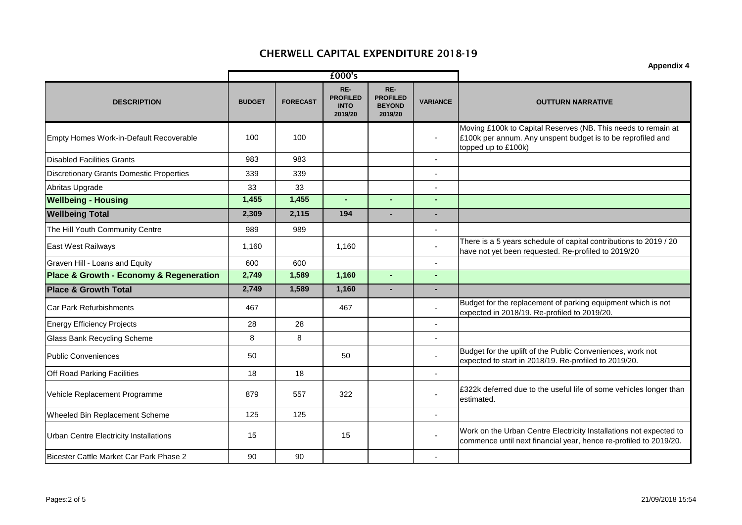|                                                 | £000's        |                 |                                                  |                                                    |                          |                                                                                                                                                     |
|-------------------------------------------------|---------------|-----------------|--------------------------------------------------|----------------------------------------------------|--------------------------|-----------------------------------------------------------------------------------------------------------------------------------------------------|
| <b>DESCRIPTION</b>                              | <b>BUDGET</b> | <b>FORECAST</b> | RE-<br><b>PROFILED</b><br><b>INTO</b><br>2019/20 | RE-<br><b>PROFILED</b><br><b>BEYOND</b><br>2019/20 | <b>VARIANCE</b>          | <b>OUTTURN NARRATIVE</b>                                                                                                                            |
| Empty Homes Work-in-Default Recoverable         | 100           | 100             |                                                  |                                                    |                          | Moving £100k to Capital Reserves (NB. This needs to remain at<br>£100k per annum. Any unspent budget is to be reprofiled and<br>topped up to £100k) |
| <b>Disabled Facilities Grants</b>               | 983           | 983             |                                                  |                                                    | $\blacksquare$           |                                                                                                                                                     |
| <b>Discretionary Grants Domestic Properties</b> | 339           | 339             |                                                  |                                                    | $\overline{\phantom{a}}$ |                                                                                                                                                     |
| Abritas Upgrade                                 | 33            | 33              |                                                  |                                                    | $\blacksquare$           |                                                                                                                                                     |
| <b>Wellbeing - Housing</b>                      | 1,455         | 1,455           |                                                  |                                                    |                          |                                                                                                                                                     |
| <b>Wellbeing Total</b>                          | 2,309         | 2,115           | 194                                              |                                                    | $\blacksquare$           |                                                                                                                                                     |
| The Hill Youth Community Centre                 | 989           | 989             |                                                  |                                                    | $\blacksquare$           |                                                                                                                                                     |
| <b>East West Railways</b>                       | 1,160         |                 | 1,160                                            |                                                    |                          | There is a 5 years schedule of capital contributions to 2019 / 20<br>have not yet been requested. Re-profiled to 2019/20                            |
| Graven Hill - Loans and Equity                  | 600           | 600             |                                                  |                                                    |                          |                                                                                                                                                     |
| Place & Growth - Economy & Regeneration         | 2,749         | 1,589           | 1,160                                            | $\mathbf{r}$                                       | $\sim$                   |                                                                                                                                                     |
| <b>Place &amp; Growth Total</b>                 | 2,749         | 1,589           | 1,160                                            | $\blacksquare$                                     |                          |                                                                                                                                                     |
| <b>Car Park Refurbishments</b>                  | 467           |                 | 467                                              |                                                    |                          | Budget for the replacement of parking equipment which is not<br>expected in 2018/19. Re-profiled to 2019/20.                                        |
| <b>Energy Efficiency Projects</b>               | 28            | 28              |                                                  |                                                    | $\overline{\phantom{a}}$ |                                                                                                                                                     |
| <b>Glass Bank Recycling Scheme</b>              | 8             | 8               |                                                  |                                                    | $\blacksquare$           |                                                                                                                                                     |
| <b>Public Conveniences</b>                      | 50            |                 | 50                                               |                                                    |                          | Budget for the uplift of the Public Conveniences, work not<br>expected to start in 2018/19. Re-profiled to 2019/20.                                 |
| Off Road Parking Facilities                     | 18            | 18              |                                                  |                                                    | $\mathbf{r}$             |                                                                                                                                                     |
| Vehicle Replacement Programme                   | 879           | 557             | 322                                              |                                                    |                          | £322k deferred due to the useful life of some vehicles longer than<br>estimated.                                                                    |
| Wheeled Bin Replacement Scheme                  | 125           | 125             |                                                  |                                                    | $\mathbf{r}$             |                                                                                                                                                     |
| Urban Centre Electricity Installations          | 15            |                 | 15                                               |                                                    |                          | Work on the Urban Centre Electricity Installations not expected to<br>commence until next financial year, hence re-profiled to 2019/20.             |
| Bicester Cattle Market Car Park Phase 2         | 90            | 90              |                                                  |                                                    |                          |                                                                                                                                                     |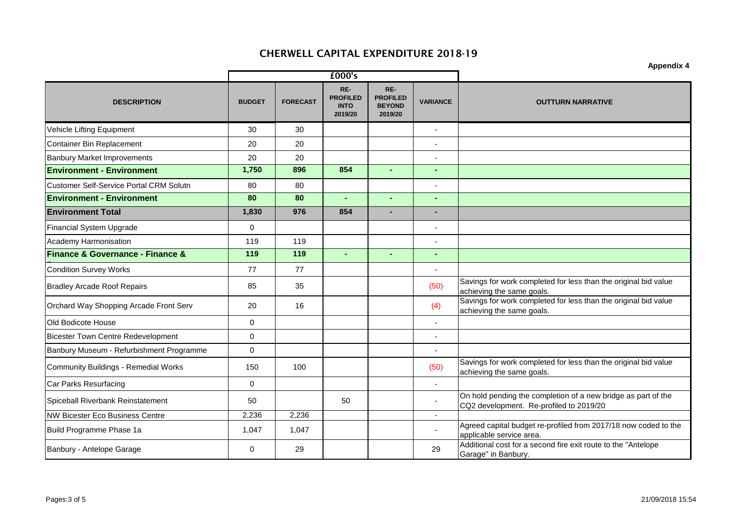|                                                 |               |                 | £000's                                           |                                                    |                 | Appenuix 4                                                                                               |
|-------------------------------------------------|---------------|-----------------|--------------------------------------------------|----------------------------------------------------|-----------------|----------------------------------------------------------------------------------------------------------|
| <b>DESCRIPTION</b>                              | <b>BUDGET</b> | <b>FORECAST</b> | RE-<br><b>PROFILED</b><br><b>INTO</b><br>2019/20 | RE-<br><b>PROFILED</b><br><b>BEYOND</b><br>2019/20 | <b>VARIANCE</b> | <b>OUTTURN NARRATIVE</b>                                                                                 |
| Vehicle Lifting Equipment                       | 30            | 30              |                                                  |                                                    |                 |                                                                                                          |
| <b>Container Bin Replacement</b>                | 20            | 20              |                                                  |                                                    | $\mathbf{r}$    |                                                                                                          |
| <b>Banbury Market Improvements</b>              | 20            | 20              |                                                  |                                                    | $\overline{a}$  |                                                                                                          |
| <b>Environment - Environment</b>                | 1,750         | 896             | 854                                              | $\Delta$                                           | ÷.              |                                                                                                          |
| <b>Customer Self-Service Portal CRM Solutn</b>  | 80            | 80              |                                                  |                                                    | $\blacksquare$  |                                                                                                          |
| <b>Environment - Environment</b>                | 80            | 80              |                                                  | $\blacksquare$                                     |                 |                                                                                                          |
| <b>Environment Total</b>                        | 1,830         | 976             | 854                                              | $\blacksquare$                                     | ÷               |                                                                                                          |
| Financial System Upgrade                        | 0             |                 |                                                  |                                                    | $\overline{a}$  |                                                                                                          |
| Academy Harmonisation                           | 119           | 119             |                                                  |                                                    |                 |                                                                                                          |
| <b>Finance &amp; Governance - Finance &amp;</b> | 119           | 119             | $\sim$                                           | $\mathbf{r}$                                       | $\mathbf{r}$    |                                                                                                          |
| <b>Condition Survey Works</b>                   | 77            | 77              |                                                  |                                                    | $\blacksquare$  |                                                                                                          |
| <b>Bradley Arcade Roof Repairs</b>              | 85            | 35              |                                                  |                                                    | (50)            | Savings for work completed for less than the original bid value<br>achieving the same goals.             |
| Orchard Way Shopping Arcade Front Serv          | 20            | 16              |                                                  |                                                    | (4)             | Savings for work completed for less than the original bid value<br>achieving the same goals.             |
| Old Bodicote House                              | $\mathbf 0$   |                 |                                                  |                                                    | $\mathbf{r}$    |                                                                                                          |
| <b>Bicester Town Centre Redevelopment</b>       | 0             |                 |                                                  |                                                    | $\blacksquare$  |                                                                                                          |
| Banbury Museum - Refurbishment Programme        | 0             |                 |                                                  |                                                    |                 |                                                                                                          |
| Community Buildings - Remedial Works            | 150           | 100             |                                                  |                                                    | (50)            | Savings for work completed for less than the original bid value<br>achieving the same goals.             |
| <b>Car Parks Resurfacing</b>                    | $\mathbf 0$   |                 |                                                  |                                                    | $\blacksquare$  |                                                                                                          |
| Spiceball Riverbank Reinstatement               | 50            |                 | 50                                               |                                                    |                 | On hold pending the completion of a new bridge as part of the<br>CQ2 development. Re-profiled to 2019/20 |
| <b>NW Bicester Eco Business Centre</b>          | 2,236         | 2,236           |                                                  |                                                    | $\blacksquare$  |                                                                                                          |
| Build Programme Phase 1a                        | 1,047         | 1,047           |                                                  |                                                    |                 | Agreed capital budget re-profiled from 2017/18 now coded to the<br>applicable service area.              |
| Banbury - Antelope Garage                       | 0             | 29              |                                                  |                                                    | 29              | Additional cost for a second fire exit route to the "Antelope<br>Garage" in Banbury.                     |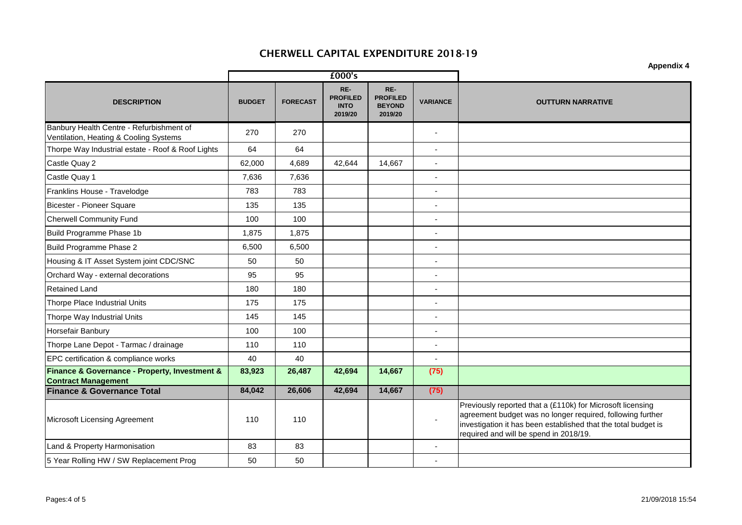|                                                                                    |               |                 |                                                  |                                                    |                          | <b>Appendix 4</b>                                                                                                                                                                                                                    |
|------------------------------------------------------------------------------------|---------------|-----------------|--------------------------------------------------|----------------------------------------------------|--------------------------|--------------------------------------------------------------------------------------------------------------------------------------------------------------------------------------------------------------------------------------|
|                                                                                    |               |                 | £000's                                           |                                                    |                          |                                                                                                                                                                                                                                      |
| <b>DESCRIPTION</b>                                                                 | <b>BUDGET</b> | <b>FORECAST</b> | RE-<br><b>PROFILED</b><br><b>INTO</b><br>2019/20 | RE-<br><b>PROFILED</b><br><b>BEYOND</b><br>2019/20 | <b>VARIANCE</b>          | <b>OUTTURN NARRATIVE</b>                                                                                                                                                                                                             |
| Banbury Health Centre - Refurbishment of<br>Ventilation, Heating & Cooling Systems | 270           | 270             |                                                  |                                                    | $\overline{\phantom{a}}$ |                                                                                                                                                                                                                                      |
| Thorpe Way Industrial estate - Roof & Roof Lights                                  | 64            | 64              |                                                  |                                                    | $\blacksquare$           |                                                                                                                                                                                                                                      |
| Castle Quay 2                                                                      | 62,000        | 4,689           | 42,644                                           | 14,667                                             |                          |                                                                                                                                                                                                                                      |
| Castle Quay 1                                                                      | 7,636         | 7,636           |                                                  |                                                    | $\overline{\phantom{a}}$ |                                                                                                                                                                                                                                      |
| Franklins House - Travelodge                                                       | 783           | 783             |                                                  |                                                    |                          |                                                                                                                                                                                                                                      |
| Bicester - Pioneer Square                                                          | 135           | 135             |                                                  |                                                    | $\overline{\phantom{a}}$ |                                                                                                                                                                                                                                      |
| <b>Cherwell Community Fund</b>                                                     | 100           | 100             |                                                  |                                                    | $\overline{\phantom{a}}$ |                                                                                                                                                                                                                                      |
| Build Programme Phase 1b                                                           | 1,875         | 1,875           |                                                  |                                                    | $\overline{\phantom{a}}$ |                                                                                                                                                                                                                                      |
| Build Programme Phase 2                                                            | 6,500         | 6,500           |                                                  |                                                    | $\overline{a}$           |                                                                                                                                                                                                                                      |
| Housing & IT Asset System joint CDC/SNC                                            | 50            | 50              |                                                  |                                                    |                          |                                                                                                                                                                                                                                      |
| Orchard Way - external decorations                                                 | 95            | 95              |                                                  |                                                    | $\blacksquare$           |                                                                                                                                                                                                                                      |
| <b>Retained Land</b>                                                               | 180           | 180             |                                                  |                                                    | $\blacksquare$           |                                                                                                                                                                                                                                      |
| <b>Thorpe Place Industrial Units</b>                                               | 175           | 175             |                                                  |                                                    | $\blacksquare$           |                                                                                                                                                                                                                                      |
| Thorpe Way Industrial Units                                                        | 145           | 145             |                                                  |                                                    |                          |                                                                                                                                                                                                                                      |
| Horsefair Banbury                                                                  | 100           | 100             |                                                  |                                                    | $\blacksquare$           |                                                                                                                                                                                                                                      |
| Thorpe Lane Depot - Tarmac / drainage                                              | 110           | 110             |                                                  |                                                    | $\overline{\phantom{a}}$ |                                                                                                                                                                                                                                      |
| EPC certification & compliance works                                               | 40            | 40              |                                                  |                                                    |                          |                                                                                                                                                                                                                                      |
| Finance & Governance - Property, Investment &<br><b>Contract Management</b>        | 83,923        | 26,487          | 42,694                                           | 14,667                                             | (75)                     |                                                                                                                                                                                                                                      |
| <b>Finance &amp; Governance Total</b>                                              | 84,042        | 26,606          | 42,694                                           | 14,667                                             | (75)                     |                                                                                                                                                                                                                                      |
| Microsoft Licensing Agreement                                                      | 110           | 110             |                                                  |                                                    |                          | Previously reported that a (£110k) for Microsoft licensing<br>agreement budget was no longer required, following further<br>investigation it has been established that the total budget is<br>required and will be spend in 2018/19. |
| Land & Property Harmonisation                                                      | 83            | 83              |                                                  |                                                    |                          |                                                                                                                                                                                                                                      |
| 5 Year Rolling HW / SW Replacement Prog                                            | 50            | 50              |                                                  |                                                    |                          |                                                                                                                                                                                                                                      |